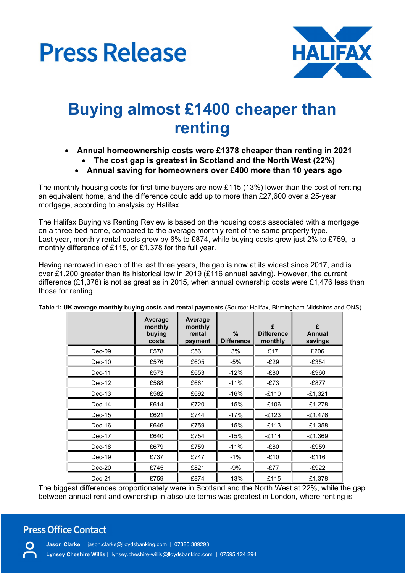



# Buying almost £1400 cheaper than renting

- Annual homeownership costs were £1378 cheaper than renting in 2021 • The cost gap is greatest in Scotland and the North West (22%)
	- Annual saving for homeowners over £400 more than 10 years ago

The monthly housing costs for first-time buyers are now £115 (13%) lower than the cost of renting an equivalent home, and the difference could add up to more than £27,600 over a 25-year mortgage, according to analysis by Halifax.

The Halifax Buying vs Renting Review is based on the housing costs associated with a mortgage on a three-bed home, compared to the average monthly rent of the same property type. Last year, monthly rental costs grew by 6% to £874, while buying costs grew just 2% to £759, a monthly difference of £115, or £1,378 for the full year.

Having narrowed in each of the last three years, the gap is now at its widest since 2017, and is over £1,200 greater than its historical low in 2019 (£116 annual saving). However, the current difference (£1,378) is not as great as in 2015, when annual ownership costs were £1,476 less than those for renting.

|          | Average<br>monthly<br>buying<br>costs | Average<br>monthly<br>rental<br>payment | $\%$<br><b>Difference</b> | £<br><b>Difference</b><br>monthly | £<br>Annual<br>savings |  |
|----------|---------------------------------------|-----------------------------------------|---------------------------|-----------------------------------|------------------------|--|
| $Dec-09$ | £578                                  | £561                                    | 3%                        | £17                               | £206                   |  |
| $Dec-10$ | £576                                  | £605                                    | -5%                       | $-E29$                            | $-£354$                |  |
| $Dec-11$ | £573                                  | £653                                    | $-12%$                    | -£80                              | -£960                  |  |
| Dec-12   | £588                                  | £661                                    | $-11%$                    | $-E73$                            | -£877                  |  |
| Dec-13   | £582                                  | £692                                    | $-16%$                    | $-E110$                           | $-£1,321$              |  |
| Dec-14   | £614                                  | £720                                    | $-15%$                    | $-£106$                           | $-£1,278$              |  |
| $Dec-15$ | £621                                  | £744                                    | $-17%$                    | $-£123$                           | $-£1,476$              |  |
| Dec-16   | £646                                  | £759                                    | $-15%$                    | $-E113$                           | $-£1,358$              |  |
| Dec-17   | £640                                  | £754                                    | $-15%$                    | $-£114$                           | $-£1,369$              |  |
| Dec-18   | £679                                  | £759                                    | $-11%$                    | -£80                              | -£959                  |  |
| $Dec-19$ | £737                                  | £747                                    | $-1\%$                    | $-£10$                            | $-E116$                |  |
| Dec-20   | £745                                  | £821                                    | -9%                       | -£77                              | $-£922$                |  |
| Dec-21   | £759                                  | £874                                    | $-13%$                    | $-£115$                           | $-£1,378$              |  |

Table 1: UK average monthly buying costs and rental payments (Source: Halifax, Birmingham Midshires and ONS)

The biggest differences proportionately were in Scotland and the North West at 22%, while the gap between annual rent and ownership in absolute terms was greatest in London, where renting is

### **Press Office Contact**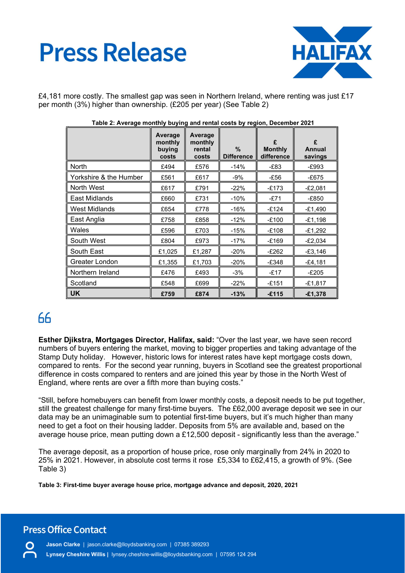# **Press Release**



£4,181 more costly. The smallest gap was seen in Northern Ireland, where renting was just £17 per month (3%) higher than ownership. (£205 per year) (See Table 2)

|                        | Average<br>monthly<br>buying<br>costs | Average<br>monthly<br>rental<br>costs | $\frac{0}{0}$<br><b>Difference</b> | £<br><b>Monthly</b><br>difference | £<br>Annual<br>savings |
|------------------------|---------------------------------------|---------------------------------------|------------------------------------|-----------------------------------|------------------------|
| North                  | £494                                  | £576                                  | $-14%$                             | $-E83$                            | -£993                  |
| Yorkshire & the Humber | £561                                  | £617                                  | $-9%$                              | -£56                              | $-E675$                |
| North West             | £617                                  | £791                                  | $-22%$                             | $-£173$                           | $-E2,081$              |
| East Midlands          | £660                                  | £731                                  | $-10%$                             | -£71                              | -£850                  |
| <b>West Midlands</b>   | £654                                  | £778                                  | $-16%$                             | $-£124$                           | $-£1,490$              |
| East Anglia            | £758                                  | £858                                  | $-12%$                             | $-£100$                           | $-E1,198$              |
| Wales                  | £596                                  | £703                                  | $-15%$                             | $-£108$                           | $-£1,292$              |
| South West             | £804                                  | £973                                  | $-17%$                             | $-£169$                           | $-E2,034$              |
| South East             | £1,025                                | £1,287                                | $-20%$                             | $-E262$                           | $-£3,146$              |
| Greater London         | £1,355                                | £1,703                                | $-20%$                             | $-£348$                           | $-£4,181$              |
| Northern Ireland       | £476                                  | £493                                  | $-3%$                              | $-£17$                            | $-E205$                |
| Scotland               | £548                                  | £699                                  | $-22%$                             | $-£151$                           | $-£1,817$              |
| <b>UK</b>              | £759                                  | £874                                  | $-13%$                             | $-£115$                           | $-£1,378$              |

#### Table 2: Average monthly buying and rental costs by region, December 2021

## $66$

Esther Djikstra, Mortgages Director, Halifax, said: "Over the last year, we have seen record numbers of buyers entering the market, moving to bigger properties and taking advantage of the Stamp Duty holiday. However, historic lows for interest rates have kept mortgage costs down, compared to rents. For the second year running, buyers in Scotland see the greatest proportional difference in costs compared to renters and are joined this year by those in the North West of England, where rents are over a fifth more than buying costs."

"Still, before homebuyers can benefit from lower monthly costs, a deposit needs to be put together, still the greatest challenge for many first-time buyers. The £62,000 average deposit we see in our data may be an unimaginable sum to potential first-time buyers, but it's much higher than many need to get a foot on their housing ladder. Deposits from 5% are available and, based on the average house price, mean putting down a £12,500 deposit - significantly less than the average."

The average deposit, as a proportion of house price, rose only marginally from 24% in 2020 to 25% in 2021. However, in absolute cost terms it rose £5,334 to £62,415, a growth of 9%. (See Table 3)

Table 3: First-time buyer average house price, mortgage advance and deposit, 2020, 2021

## **Press Office Contact**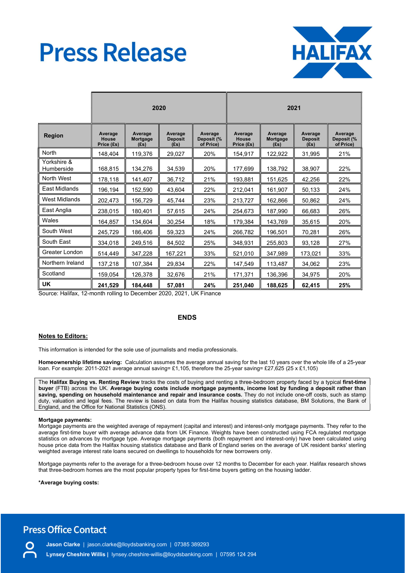# **Press Release**



|                           | 2020                                  |                             |                                   |                                    | 2021                           |                             |                                   |                                    |
|---------------------------|---------------------------------------|-----------------------------|-----------------------------------|------------------------------------|--------------------------------|-----------------------------|-----------------------------------|------------------------------------|
| <b>Region</b>             | Average<br><b>House</b><br>Price (£s) | Average<br>Mortgage<br>(Es) | Average<br><b>Deposit</b><br>(Es) | Average<br>Deposit (%<br>of Price) | Average<br>House<br>Price (£s) | Average<br>Mortgage<br>(Es) | Average<br><b>Deposit</b><br>(fs) | Average<br>Deposit (%<br>of Price) |
| North                     | 148,404                               | 119,376                     | 29.027                            | 20%                                | 154,917                        | 122,922                     | 31.995                            | 21%                                |
| Yorkshire &<br>Humberside | 168,815                               | 134,276                     | 34,539                            | 20%                                | 177,699                        | 138,792                     | 38,907                            | 22%                                |
| North West                | 178,118                               | 141,407                     | 36,712                            | 21%                                | 193,881                        | 151,625                     | 42,256                            | 22%                                |
| East Midlands             | 196,194                               | 152,590                     | 43,604                            | 22%                                | 212,041                        | 161,907                     | 50,133                            | 24%                                |
| <b>West Midlands</b>      | 202,473                               | 156,729                     | 45,744                            | 23%                                | 213,727                        | 162,866                     | 50,862                            | 24%                                |
| East Anglia               | 238,015                               | 180,401                     | 57,615                            | 24%                                | 254,673                        | 187,990                     | 66,683                            | 26%                                |
| Wales                     | 164,857                               | 134,604                     | 30,254                            | 18%                                | 179,384                        | 143,769                     | 35,615                            | 20%                                |
| South West                | 245,729                               | 186,406                     | 59,323                            | 24%                                | 266,782                        | 196,501                     | 70,281                            | 26%                                |
| South East                | 334,018                               | 249,516                     | 84,502                            | 25%                                | 348,931                        | 255,803                     | 93,128                            | 27%                                |
| Greater London            | 514,449                               | 347,228                     | 167,221                           | 33%                                | 521,010                        | 347,989                     | 173,021                           | 33%                                |
| Northern Ireland          | 137,218                               | 107,384                     | 29,834                            | 22%                                | 147,549                        | 113,487                     | 34,062                            | 23%                                |
| Scotland                  | 159,054                               | 126,378                     | 32,676                            | 21%                                | 171,371                        | 136,396                     | 34,975                            | 20%                                |
| UK                        | 241,529                               | 184,448                     | 57,081                            | 24%                                | 251,040                        | 188,625                     | 62,415                            | 25%                                |

Source: Halifax, 12-month rolling to December 2020, 2021, UK Finance

#### ENDS

#### Notes to Editors:

This information is intended for the sole use of journalists and media professionals.

Homeownership lifetime saving: Calculation assumes the average annual saving for the last 10 years over the whole life of a 25-year loan. For example: 2011-2021 average annual saving= £1,105, therefore the 25-year saving= £27,625 (25 x £1,105)

The Halifax Buying vs. Renting Review tracks the costs of buying and renting a three-bedroom property faced by a typical first-time buyer (FTB) across the UK. Average buying costs include mortgage payments, income lost by funding a deposit rather than saving, spending on household maintenance and repair and insurance costs. They do not include one-off costs, such as stamp duty, valuation and legal fees. The review is based on data from the Halifax housing statistics database, BM Solutions, the Bank of England, and the Office for National Statistics (ONS).

#### Mortgage payments:

Mortgage payments are the weighted average of repayment (capital and interest) and interest-only mortgage payments. They refer to the average first-time buyer with average advance data from UK Finance. Weights have been constructed using FCA regulated mortgage statistics on advances by mortgage type. Average mortgage payments (both repayment and interest-only) have been calculated using house price data from the Halifax housing statistics database and Bank of England series on the average of UK resident banks' sterling weighted average interest rate loans secured on dwellings to households for new borrowers only.

Mortgage payments refer to the average for a three-bedroom house over 12 months to December for each year. Halifax research shows that three-bedroom homes are the most popular property types for first-time buyers getting on the housing ladder.

\*Average buying costs:

### **Press Office Contact**

Jason Clarke | jason.clarke@lloydsbanking.com | 07385 389293 Lynsey Cheshire Willis | lynsey.cheshire-willis@lloydsbanking.com | 07595 124 294